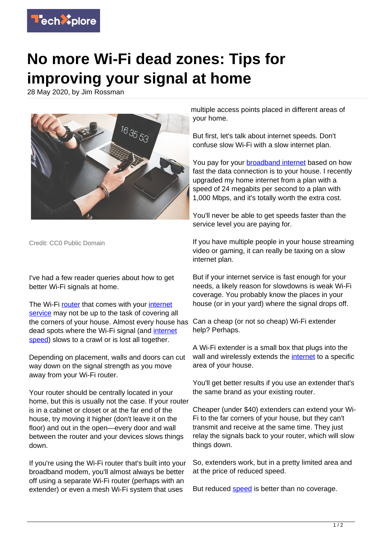

## **No more Wi-Fi dead zones: Tips for improving your signal at home**

28 May 2020, by Jim Rossman



Credit: CC0 Public Domain

I've had a few reader queries about how to get better Wi-Fi signals at home.

The Wi-Fi [router](https://techxplore.com/tags/router/) that comes with your [internet](https://techxplore.com/tags/internet+service/) [service](https://techxplore.com/tags/internet+service/) may not be up to the task of covering all the corners of your house. Almost every house has dead spots where the Wi-Fi signal (and [internet](https://techxplore.com/tags/internet+speed/) [speed](https://techxplore.com/tags/internet+speed/)) slows to a crawl or is lost all together.

Depending on placement, walls and doors can cut way down on the signal strength as you move away from your Wi-Fi router.

Your router should be centrally located in your home, but this is usually not the case. If your router is in a cabinet or closet or at the far end of the house, try moving it higher (don't leave it on the floor) and out in the open—every door and wall between the router and your devices slows things down.

If you're using the Wi-Fi router that's built into your broadband modem, you'll almost always be better off using a separate Wi-Fi router (perhaps with an extender) or even a mesh Wi-Fi system that uses

multiple access points placed in different areas of your home.

But first, let's talk about internet speeds. Don't confuse slow Wi-Fi with a slow internet plan.

You pay for your **broadband internet** based on how fast the data connection is to your house. I recently upgraded my home internet from a plan with a speed of 24 megabits per second to a plan with 1,000 Mbps, and it's totally worth the extra cost.

You'll never be able to get speeds faster than the service level you are paying for.

If you have multiple people in your house streaming video or gaming, it can really be taxing on a slow internet plan.

But if your internet service is fast enough for your needs, a likely reason for slowdowns is weak Wi-Fi coverage. You probably know the places in your house (or in your yard) where the signal drops off.

Can a cheap (or not so cheap) Wi-Fi extender help? Perhaps.

A Wi-Fi extender is a small box that plugs into the wall and wirelessly extends the [internet](https://techxplore.com/tags/internet/) to a specific area of your house.

You'll get better results if you use an extender that's the same brand as your existing router.

Cheaper (under \$40) extenders can extend your Wi-Fi to the far corners of your house, but they can't transmit and receive at the same time. They just relay the signals back to your router, which will slow things down.

So, extenders work, but in a pretty limited area and at the price of reduced speed.

But reduced [speed](https://techxplore.com/tags/speed/) is better than no coverage.